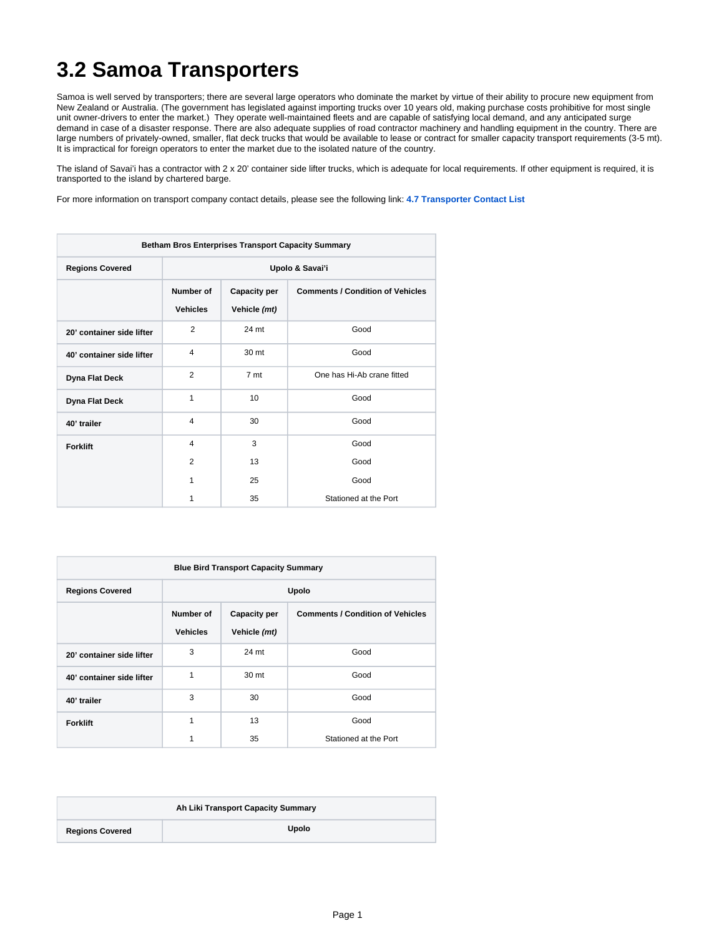## **3.2 Samoa Transporters**

Samoa is well served by transporters; there are several large operators who dominate the market by virtue of their ability to procure new equipment from New Zealand or Australia. (The government has legislated against importing trucks over 10 years old, making purchase costs prohibitive for most single unit owner-drivers to enter the market.) They operate well-maintained fleets and are capable of satisfying local demand, and any anticipated surge demand in case of a disaster response. There are also adequate supplies of road contractor machinery and handling equipment in the country. There are large numbers of privately-owned, smaller, flat deck trucks that would be available to lease or contract for smaller capacity transport requirements (3-5 mt). It is impractical for foreign operators to enter the market due to the isolated nature of the country.

The island of Savai'i has a contractor with 2 x 20' container side lifter trucks, which is adequate for local requirements. If other equipment is required, it is transported to the island by chartered barge.

For more information on transport company contact details, please see the following link: **[4.7 Transporter Contact List](https://dlca.logcluster.org/display/DLCA/4.7+Samoa+Transporter+Contact+List)** 

| <b>Betham Bros Enterprises Transport Capacity Summary</b> |                              |                                     |                                         |  |
|-----------------------------------------------------------|------------------------------|-------------------------------------|-----------------------------------------|--|
| <b>Regions Covered</b>                                    | Upolo & Savai'i              |                                     |                                         |  |
|                                                           | Number of<br><b>Vehicles</b> | <b>Capacity per</b><br>Vehicle (mt) | <b>Comments / Condition of Vehicles</b> |  |
| 20' container side lifter                                 | $\overline{2}$               | 24 mt                               | Good                                    |  |
| 40' container side lifter                                 | $\overline{4}$               | 30 mt                               | Good                                    |  |
| <b>Dyna Flat Deck</b>                                     | 2                            | 7 mt                                | One has Hi-Ab crane fitted              |  |
| <b>Dyna Flat Deck</b>                                     | 1                            | 10                                  | Good                                    |  |
| 40' trailer                                               | 4                            | 30                                  | Good                                    |  |
| <b>Forklift</b>                                           | $\overline{4}$               | 3                                   | Good                                    |  |
|                                                           | 2                            | 13                                  | Good                                    |  |
|                                                           | 1                            | 25                                  | Good                                    |  |
|                                                           | 1                            | 35                                  | Stationed at the Port                   |  |

| <b>Blue Bird Transport Capacity Summary</b> |                              |                                     |                                         |  |  |
|---------------------------------------------|------------------------------|-------------------------------------|-----------------------------------------|--|--|
| <b>Regions Covered</b>                      | Upolo                        |                                     |                                         |  |  |
|                                             | Number of<br><b>Vehicles</b> | <b>Capacity per</b><br>Vehicle (mt) | <b>Comments / Condition of Vehicles</b> |  |  |
| 20' container side lifter                   | 3                            | 24 mt                               | Good                                    |  |  |
| 40' container side lifter                   | 1                            | 30 mt                               | Good                                    |  |  |
| 40' trailer                                 | 3                            | 30                                  | Good                                    |  |  |
| <b>Forklift</b>                             |                              | 13                                  | Good                                    |  |  |
|                                             |                              | 35                                  | Stationed at the Port                   |  |  |

| Ah Liki Transport Capacity Summary |              |  |  |
|------------------------------------|--------------|--|--|
| <b>Regions Covered</b>             | <b>Upolo</b> |  |  |